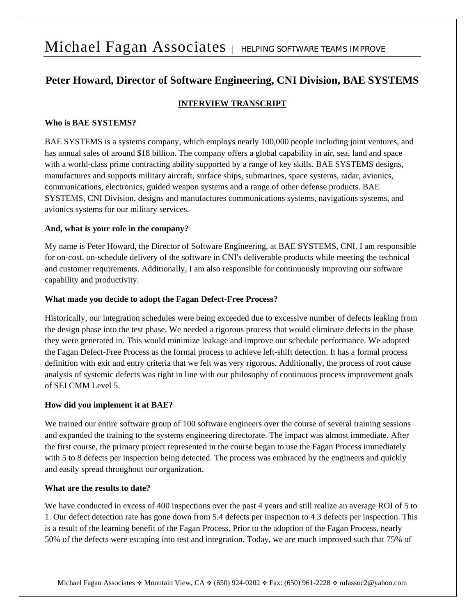# Michael Fagan Associates | HELPING SOFTWARE TEAMS IMPROVE

# **Peter Howard, Director of Software Engineering, CNI Division, BAE SYSTEMS**

# **INTERVIEW TRANSCRIPT**

# **Who is BAE SYSTEMS?**

BAE SYSTEMS is a systems company, which employs nearly 100,000 people including joint ventures, and has annual sales of around \$18 billion. The company offers a global capability in air, sea, land and space with a world-class prime contracting ability supported by a range of key skills. BAE SYSTEMS designs, manufactures and supports military aircraft, surface ships, submarines, space systems, radar, avionics, communications, electronics, guided weapon systems and a range of other defense products. BAE SYSTEMS, CNI Division, designs and manufactures communications systems, navigations systems, and avionics systems for our military services.

# **And, what is your role in the company?**

My name is Peter Howard, the Director of Software Engineering, at BAE SYSTEMS, CNI. I am responsible for on-cost, on-schedule delivery of the software in CNI's deliverable products while meeting the technical and customer requirements. Additionally, I am also responsible for continuously improving our software capability and productivity.

# **What made you decide to adopt the Fagan Defect-Free Process?**

Historically, our integration schedules were being exceeded due to excessive number of defects leaking from the design phase into the test phase. We needed a rigorous process that would eliminate defects in the phase they were generated in. This would minimize leakage and improve our schedule performance. We adopted the Fagan Defect-Free Process as the formal process to achieve left-shift detection. It has a formal process definition with exit and entry criteria that we felt was very rigorous. Additionally, the process of root cause analysis of systemic defects was right in line with our philosophy of continuous process improvement goals of SEI CMM Level 5.

#### **How did you implement it at BAE?**

We trained our entire software group of 100 software engineers over the course of several training sessions and expanded the training to the systems engineering directorate. The impact was almost immediate. After the first course, the primary project represented in the course began to use the Fagan Process immediately with 5 to 8 defects per inspection being detected. The process was embraced by the engineers and quickly and easily spread throughout our organization.

#### **What are the results to date?**

We have conducted in excess of 400 inspections over the past 4 years and still realize an average ROI of 5 to 1. Our defect detection rate has gone down from 5.4 defects per inspection to 4.3 defects per inspection. This is a result of the learning benefit of the Fagan Process. Prior to the adoption of the Fagan Process, nearly 50% of the defects were escaping into test and integration. Today, we are much improved such that 75% of